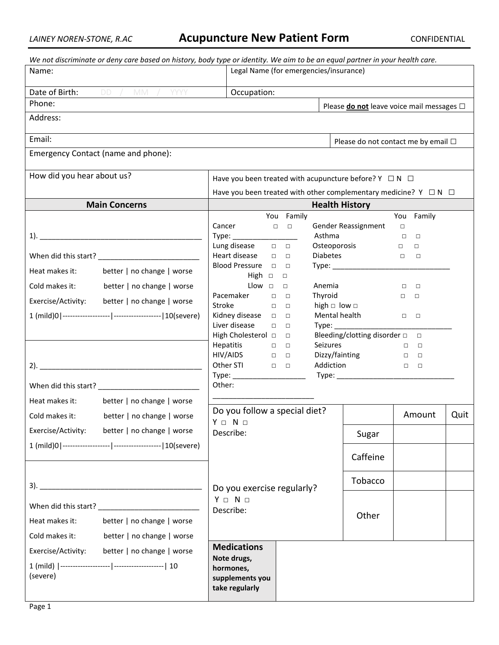| We not discriminate or deny care based on history, body type or identity. We aim to be an equal partner in your health care. |                                                                                |                                                              |                                                       |                                      |      |  |  |  |
|------------------------------------------------------------------------------------------------------------------------------|--------------------------------------------------------------------------------|--------------------------------------------------------------|-------------------------------------------------------|--------------------------------------|------|--|--|--|
| Name:                                                                                                                        | Legal Name (for emergencies/insurance)                                         |                                                              |                                                       |                                      |      |  |  |  |
| Date of Birth: DD / MM / YYYY                                                                                                | Occupation:                                                                    |                                                              |                                                       |                                      |      |  |  |  |
| Phone:                                                                                                                       |                                                                                |                                                              | Please <b>do not</b> leave voice mail messages $\Box$ |                                      |      |  |  |  |
| Address:                                                                                                                     |                                                                                |                                                              |                                                       |                                      |      |  |  |  |
| Email:                                                                                                                       | Please do not contact me by email □                                            |                                                              |                                                       |                                      |      |  |  |  |
| Emergency Contact (name and phone):                                                                                          |                                                                                |                                                              |                                                       |                                      |      |  |  |  |
| How did you hear about us?<br>Have you been treated with acupuncture before? $Y \square N \square$                           |                                                                                |                                                              |                                                       |                                      |      |  |  |  |
|                                                                                                                              | Have you been treated with other complementary medicine? $Y \square N \square$ |                                                              |                                                       |                                      |      |  |  |  |
| <b>Main Concerns</b>                                                                                                         | <b>Health History</b>                                                          |                                                              |                                                       |                                      |      |  |  |  |
|                                                                                                                              |                                                                                | You Family                                                   |                                                       | You Family                           |      |  |  |  |
|                                                                                                                              | Cancer                                                                         | $\begin{array}{ccc} \square & \square & \square \end{array}$ | Gender Reassignment                                   | $\Box$                               |      |  |  |  |
|                                                                                                                              |                                                                                | Asthma                                                       |                                                       | $\Box$<br>$\Box$                     |      |  |  |  |
|                                                                                                                              | Lung disease<br>Heart disease<br>$\Box$                                        | $\Box$<br>$\Box$                                             | Osteoporosis<br><b>Diabetes</b>                       | $\Box$<br>$\Box$<br>$\Box$<br>$\Box$ |      |  |  |  |
|                                                                                                                              | Blood Pressure <b>D</b>                                                        | $\Box$                                                       |                                                       |                                      |      |  |  |  |
| Heat makes it:<br>better   no change   worse                                                                                 | High $\Box$                                                                    | $\Box$                                                       |                                                       |                                      |      |  |  |  |
| Cold makes it:<br>better   no change   worse                                                                                 | Llow $\Box$                                                                    | Anemia<br>$\Box$                                             |                                                       | $\Box$<br>$\Box$                     |      |  |  |  |
| Exercise/Activity: better   no change   worse                                                                                | Pacemaker<br>$\Box$                                                            | Thyroid<br>$\Box$                                            |                                                       | $\Box$<br>$\Box$                     |      |  |  |  |
|                                                                                                                              | Stroke<br>$\Box$<br>Kidney disease $\Box$                                      | $\Box$<br>$\Box$                                             | high $\Box$ low $\Box$<br>Mental health               | $\Box$ $\Box$                        |      |  |  |  |
|                                                                                                                              | Liver disease<br>$\Box$                                                        | $\Box$                                                       | Type:                                                 |                                      |      |  |  |  |
|                                                                                                                              | Bleeding/clotting disorder $\square$<br>High Cholesterol $\Box$<br>$\Box$      |                                                              |                                                       |                                      |      |  |  |  |
|                                                                                                                              | <b>Hepatitis</b>                                                               | <b>Seizures</b><br>$\Box$ $\Box$                             |                                                       | $\Box$                               |      |  |  |  |
|                                                                                                                              | $HIV/AIDS$ $\Box$<br>Other STI DDD                                             |                                                              | Dizzy/fainting □ □<br>Addiction                       |                                      |      |  |  |  |
|                                                                                                                              | Type: _____________________                                                    |                                                              |                                                       |                                      |      |  |  |  |
|                                                                                                                              | Other:                                                                         |                                                              |                                                       |                                      |      |  |  |  |
| Heat makes it:<br>better   no change   worse                                                                                 |                                                                                |                                                              |                                                       |                                      |      |  |  |  |
| better   no change   worse<br>Cold makes it:                                                                                 | $Y \Box N \Box$                                                                | Do you follow a special diet?                                |                                                       | Amount                               | Quit |  |  |  |
| Exercise/Activity:<br>better   no change   worse                                                                             | Describe:                                                                      |                                                              | Sugar                                                 |                                      |      |  |  |  |
|                                                                                                                              |                                                                                |                                                              | Caffeine                                              |                                      |      |  |  |  |
|                                                                                                                              | Do you exercise regularly?                                                     |                                                              | Tobacco                                               |                                      |      |  |  |  |
|                                                                                                                              | $Y \Box N \Box$                                                                |                                                              |                                                       |                                      |      |  |  |  |
|                                                                                                                              | Describe:                                                                      |                                                              |                                                       |                                      |      |  |  |  |
| better   no change   worse<br>Heat makes it:                                                                                 |                                                                                |                                                              | Other                                                 |                                      |      |  |  |  |
| Cold makes it:<br>better   no change   worse                                                                                 |                                                                                |                                                              |                                                       |                                      |      |  |  |  |
| Exercise/Activity: better   no change   worse                                                                                | <b>Medications</b>                                                             |                                                              |                                                       |                                      |      |  |  |  |
|                                                                                                                              | Note drugs,<br>hormones,                                                       |                                                              |                                                       |                                      |      |  |  |  |
| (severe)                                                                                                                     | supplements you                                                                |                                                              |                                                       |                                      |      |  |  |  |
|                                                                                                                              | take regularly                                                                 |                                                              |                                                       |                                      |      |  |  |  |
|                                                                                                                              |                                                                                |                                                              |                                                       |                                      |      |  |  |  |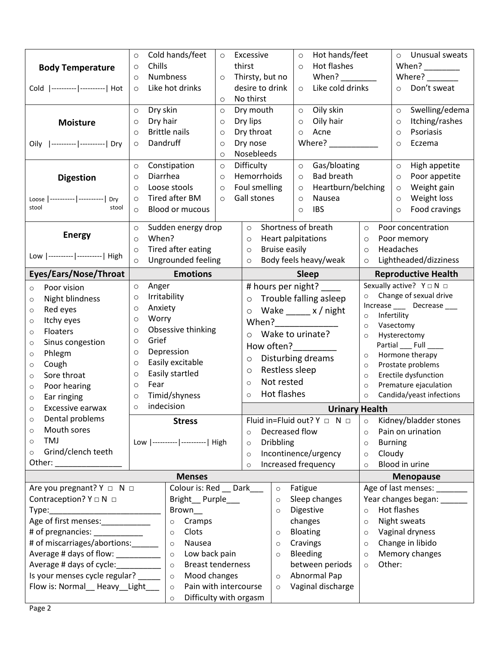| <b>Body Temperature</b><br>Cold  ---------- -----------  Hot<br><b>Moisture</b><br>Oily  ---------- -----------  Dry                                                                                                                                                                                                                                                                                                                                  | Cold hands/feet<br>$\circ$<br>$\circ$<br>Chills<br>$\circ$<br>Numbness<br>$\circ$<br>$\circ$<br>Like hot drinks<br>$\circ$<br>$\circ$<br>Dry skin<br>$\circ$<br>$\circ$<br>Dry hair<br>$\circ$<br>$\circ$<br><b>Brittle nails</b><br>$\circ$<br>$\circ$<br>Dandruff<br>$\circ$<br>$\circ$<br>$\circ$<br>Constipation<br>$\circ$<br>$\circ$<br>Diarrhea<br>$\circ$<br>$\circ$                      | Excessive<br>thirst<br>Thirsty, but no<br>desire to drink<br>No thirst<br>Dry mouth<br>Dry lips<br>Dry throat<br>Dry nose<br>Nosebleeds<br>Difficulty<br>Hemorrhoids                                                                                                                                | Hot hands/feet<br>$\circ$<br>Hot flashes<br>$\circ$<br>When?<br>Like cold drinks<br>$\circ$<br>Oily skin<br>$\circ$<br>Oily hair<br>$\circ$<br>Acne<br>$\circ$<br>Where? ___________<br>Gas/bloating<br>$\circ$<br><b>Bad breath</b><br>$\circ$                                                                                                                  | Unusual sweats<br>$\circ$<br>When? $\frac{1}{\frac{1}{2}}$<br>Where?<br>Don't sweat<br>$\circ$<br>Swelling/edema<br>$\circ$<br>Itching/rashes<br>$\circ$<br>Psoriasis<br>$\circ$<br>Eczema<br>$\circ$<br>High appetite<br>$\circ$<br>Poor appetite<br>$\circ$                                                                                                                                                     |  |
|-------------------------------------------------------------------------------------------------------------------------------------------------------------------------------------------------------------------------------------------------------------------------------------------------------------------------------------------------------------------------------------------------------------------------------------------------------|---------------------------------------------------------------------------------------------------------------------------------------------------------------------------------------------------------------------------------------------------------------------------------------------------------------------------------------------------------------------------------------------------|-----------------------------------------------------------------------------------------------------------------------------------------------------------------------------------------------------------------------------------------------------------------------------------------------------|------------------------------------------------------------------------------------------------------------------------------------------------------------------------------------------------------------------------------------------------------------------------------------------------------------------------------------------------------------------|-------------------------------------------------------------------------------------------------------------------------------------------------------------------------------------------------------------------------------------------------------------------------------------------------------------------------------------------------------------------------------------------------------------------|--|
| <b>Digestion</b><br>Loose  ----------  ----------   Dry<br>stool<br>stool                                                                                                                                                                                                                                                                                                                                                                             | Loose stools<br>$\circ$<br>$\circ$<br>Tired after BM<br>$\circ$<br>$\circ$<br><b>Blood or mucous</b><br>$\circ$                                                                                                                                                                                                                                                                                   | Foul smelling<br>Gall stones                                                                                                                                                                                                                                                                        | Heartburn/belching<br>$\circ$<br>Nausea<br>$\circ$<br><b>IBS</b><br>$\circ$                                                                                                                                                                                                                                                                                      | Weight gain<br>$\circ$<br>Weight loss<br>$\circ$<br>Food cravings<br>$\circ$                                                                                                                                                                                                                                                                                                                                      |  |
| <b>Energy</b><br>Low  ---------- ----------  High                                                                                                                                                                                                                                                                                                                                                                                                     | Sudden energy drop<br>$\circ$<br>When?<br>$\circ$<br>Tired after eating<br>$\circ$<br>Ungrounded feeling<br>$\circ$                                                                                                                                                                                                                                                                               | Shortness of breath<br>$\circ$<br>Heart palpitations<br>$\circ$<br><b>Bruise easily</b><br>$\circ$<br>Body feels heavy/weak<br>$\circ$                                                                                                                                                              |                                                                                                                                                                                                                                                                                                                                                                  | Poor concentration<br>$\circ$<br>Poor memory<br>$\circ$<br>Headaches<br>$\circ$<br>Lightheaded/dizziness<br>$\circ$                                                                                                                                                                                                                                                                                               |  |
|                                                                                                                                                                                                                                                                                                                                                                                                                                                       |                                                                                                                                                                                                                                                                                                                                                                                                   |                                                                                                                                                                                                                                                                                                     |                                                                                                                                                                                                                                                                                                                                                                  |                                                                                                                                                                                                                                                                                                                                                                                                                   |  |
| Eyes/Ears/Nose/Throat<br>Poor vision<br>$\circ$<br>Night blindness<br>$\circ$<br>Red eyes<br>$\circ$<br>Itchy eyes<br>$\circ$<br>Floaters<br>$\circ$<br>Sinus congestion<br>$\circ$<br>Phlegm<br>$\circ$<br>Cough<br>$\circ$<br>Sore throat<br>$\circ$<br>Poor hearing<br>$\circ$<br>Ear ringing<br>$\circ$<br>Excessive earwax<br>$\circ$<br>Dental problems<br>$\circ$<br>Mouth sores<br>$\circ$<br>TMJ<br>$\circ$<br>Grind/clench teeth<br>$\circ$ | <b>Emotions</b><br>Anger<br>$\circ$<br>Irritability<br>$\circ$<br>Anxiety<br>$\circ$<br>Worry<br>$\circ$<br>Obsessive thinking<br>$\circ$<br>Grief<br>$\circ$<br>Depression<br>$\circ$<br>Easily excitable<br>$\circ$<br>Easily startled<br>$\circ$<br>Fear<br>$\circ$<br>Timid/shyness<br>$\circ$<br>indecision<br>$\circ$<br><b>Stress</b><br>Low  ---------- ----------  High<br><b>Menses</b> | # hours per night? ____<br>$\circ$<br>$\circ$<br>When?<br>Wake to urinate?<br>$\Omega$<br>How often?<br><u>Letten</u><br>$\circ$<br>Restless sleep<br>$\circ$<br>Not rested<br>$\circ$<br>Hot flashes<br>$\circ$<br>Decreased flow<br>$\Omega$<br><b>Dribbling</b><br>$\circ$<br>$\circ$<br>$\circ$ | <b>Sleep</b><br>$\circ$<br>Trouble falling asleep<br>Wake $\_\_\_\ x$ / night<br>$\circ$<br>$\circ$<br>$\circ$<br>$\circ$<br>Disturbing dreams<br>$\circ$<br>$\circ$<br>$\circ$<br>$\circ$<br><b>Urinary Health</b><br>Fluid in=Fluid out? $Y \Box N \Box$<br>$\circ$<br>$\circ$<br>$\circ$<br>Incontinence/urgency<br>$\circ$<br>Increased frequency<br>$\circ$ | <b>Reproductive Health</b><br>Sexually active? $Y \square N \square$<br>Change of sexual drive<br>Increase ____ Decrease ___<br>Infertility<br>Vasectomy<br>Hysterectomy<br>Partial ____ Full __<br>Hormone therapy<br>Prostate problems<br>Erectile dysfunction<br>Premature ejaculation<br>Candida/yeast infections<br>Kidney/bladder stones<br>Pain on urination<br><b>Burning</b><br>Cloudy<br>Blood in urine |  |
| Are you pregnant? $Y \Box N \Box$                                                                                                                                                                                                                                                                                                                                                                                                                     | Colour is: Red __ Dark                                                                                                                                                                                                                                                                                                                                                                            | $\circ$                                                                                                                                                                                                                                                                                             | Fatigue                                                                                                                                                                                                                                                                                                                                                          | <b>Menopause</b><br>Age of last menses:                                                                                                                                                                                                                                                                                                                                                                           |  |
| Contraception? $Y \square N \square$<br>Age of first menses:___________<br># of pregnancies: ___________<br># of miscarriages/abortions:<br>Average # days of flow: _________<br>Is your menses cycle regular?<br>Flow is: Normal_ Heavy_Light__                                                                                                                                                                                                      | Bright_Purple__<br>Brown_<br>Cramps<br>$\circ$<br>Clots<br>$\circ$<br>Nausea<br>$\circ$<br>Low back pain<br>$\circ$<br><b>Breast tenderness</b><br>$\circ$<br>Mood changes<br>$\circ$<br>Pain with intercourse<br>$\circ$<br>Difficulty with orgasm<br>$\circ$                                                                                                                                    | $\circ$<br>$\circ$<br>$\circ$<br>$\circ$<br>$\circ$<br>$\circ$<br>$\circ$                                                                                                                                                                                                                           | Sleep changes<br>Digestive<br>$\circ$<br>changes<br>$\circ$<br><b>Bloating</b><br>$\circ$<br>Cravings<br>$\circ$<br>Bleeding<br>$\circ$<br>between periods<br>$\circ$<br>Abnormal Pap<br>Vaginal discharge                                                                                                                                                       | Year changes began: _____<br>Hot flashes<br>Night sweats<br>Vaginal dryness<br>Change in libido<br>Memory changes<br>Other:                                                                                                                                                                                                                                                                                       |  |